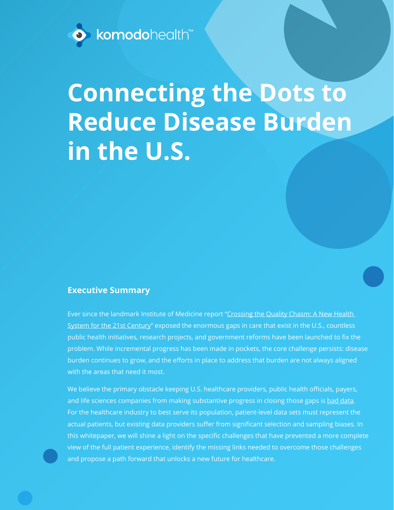

# **Connecting the Dots to Reduce Disease Burden in the U.S.**

#### **Executive Summary**

Ever since the landmark Institute of Medicine report ["Crossing the Quality Chasm: A New Health](https://www.ncbi.nlm.nih.gov/pubmed/25057539)  [System for the 21st Century"](https://www.ncbi.nlm.nih.gov/pubmed/25057539) exposed the enormous gaps in care that exist in the U.S., countless public health initiatives, research projects, and government reforms have been launched to fix the problem. While incremental progress has been made in pockets, the core challenge persists: disease burden continues to grow, and the efforts in place to address that burden are not always aligned with the areas that need it most.

We believe the primary obstacle keeping U.S. healthcare providers, public health officials, payers, and life sciences companies from making substantive progress in closing those gaps is [bad data.](https://s3.amazonaws.com/pageproofer-attachments/16a26f6022a%2FWhitepaper_2019_02_22.pdf) For the healthcare industry to best serve its population, patient-level data sets must represent the actual patients, but existing data providers suffer from significant selection and sampling biases. In this whitepaper, we will shine a light on the specific challenges that have prevented a more complete view of the full patient experience, identify the missing links needed to overcome those challenges and propose a path forward that unlocks a new future for healthcare.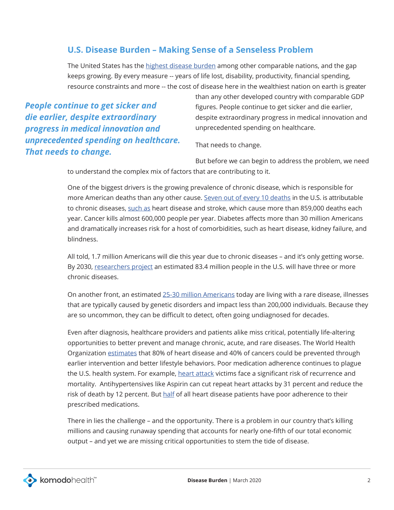#### **U.S. Disease Burden – Making Sense of a Senseless Problem**

The United States has the [highest disease burden](https://www.healthsystemtracker.org/brief/a-generation-of-healthcare-in-the-united-states-has-value-improved-in-the-last-25-years/) among other comparable nations, and the gap keeps growing. By every measure -- years of life lost, disability, productivity, financial spending, resource constraints and more -- the cost of disease here in the wealthiest nation on earth is greater

*People continue to get sicker and die earlier, despite extraordinary progress in medical innovation and unprecedented spending on healthcare. That needs to change.*

than any other developed country with comparable GDP figures. People continue to get sicker and die earlier, despite extraordinary progress in medical innovation and unprecedented spending on healthcare.

That needs to change.

But before we can begin to address the problem, we need to understand the complex mix of factors that are contributing to it.

One of the biggest drivers is the growing prevalence of chronic disease, which is responsible for more American deaths than any other cause. [Seven out of every 10 deaths](https://www.ncbi.nlm.nih.gov/pmc/articles/PMC5876976/) in the U.S. is attributable to chronic diseases, [such as](https://www.cdc.gov/chronicdisease/about/costs/index.htm) heart disease and stroke, which cause more than 859,000 deaths each year. Cancer kills almost 600,000 people per year. Diabetes affects more than 30 million Americans and dramatically increases risk for a host of comorbidities, such as heart disease, kidney failure, and blindness.

All told, 1.7 million Americans will die this year due to chronic diseases – and it's only getting worse. By 2030, [researchers project](https://www.milkeninstitute.org/sites/default/files/reports-pdf/ChronicDiseases-HighRes-FINAL.pdf) an estimated 83.4 million people in the U.S. will have three or more chronic diseases.

On another front, an estimated [25-30 million Americans](https://rarediseases.info.nih.gov/diseases/pages/31/faqs-about-rare-diseases) today are living with a rare disease, illnesses that are typically caused by genetic disorders and impact less than 200,000 individuals. Because they are so uncommon, they can be difficult to detect, often going undiagnosed for decades.

Even after diagnosis, healthcare providers and patients alike miss critical, potentially life-altering opportunities to better prevent and manage chronic, acute, and rare diseases. The World Health Organization [estimates](https://www.who.int/chp/chronic_disease_report/part1/en/index11.html) that 80% of heart disease and 40% of cancers could be prevented through earlier intervention and better lifestyle behaviors. Poor medication adherence continues to plague the U.S. health system. For example, [heart attack](https://www.who.int/cardiovascular_diseases/priorities/secondary_prevention/country/en/index1.html) victims face a significant risk of recurrence and mortality. Antihypertensives like Aspirin can cut repeat heart attacks by 31 percent and reduce the risk of death by 12 percent. But [half](https://www.ncbi.nlm.nih.gov/pmc/articles/PMC3639439/) of all heart disease patients have poor adherence to their prescribed medications.

There in lies the challenge – and the opportunity. There is a problem in our country that's killing millions and causing runaway spending that accounts for nearly one-fifth of our total economic output – and yet we are missing critical opportunities to stem the tide of disease.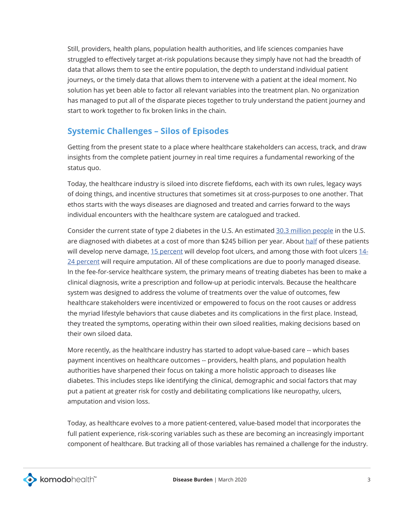Still, providers, health plans, population health authorities, and life sciences companies have struggled to effectively target at-risk populations because they simply have not had the breadth of data that allows them to see the entire population, the depth to understand individual patient journeys, or the timely data that allows them to intervene with a patient at the ideal moment. No solution has yet been able to factor all relevant variables into the treatment plan. No organization has managed to put all of the disparate pieces together to truly understand the patient journey and start to work together to fix broken links in the chain.

#### **Systemic Challenges – Silos of Episodes**

Getting from the present state to a place where healthcare stakeholders can access, track, and draw insights from the complete patient journey in real time requires a fundamental reworking of the status quo.

Today, the healthcare industry is siloed into discrete fiefdoms, each with its own rules, legacy ways of doing things, and incentive structures that sometimes sit at cross-purposes to one another. That ethos starts with the ways diseases are diagnosed and treated and carries forward to the ways individual encounters with the healthcare system are catalogued and tracked.

Consider the current state of type 2 diabetes in the U.S. An estimated [30.3 million people](https://www.cdc.gov/media/releases/2017/p0718-diabetes-report.html) in the U.S. are diagnosed with diabetes at a cost of more than \$245 billion per year. About [half](https://www.diabetes.org/diabetes/complications/neuropathy?language_content_entity=en) of these patients will develop nerve damage, [15 percent](https://www.apma.org/diabeticwoundcare) will develop foot ulcers, and among those with foot ulcers [14-](https://www.apma.org/diabeticwoundcare) [24 percent](https://www.apma.org/diabeticwoundcare) will require amputation. All of these complications are due to poorly managed disease. In the fee-for-service healthcare system, the primary means of treating diabetes has been to make a clinical diagnosis, write a prescription and follow-up at periodic intervals. Because the healthcare system was designed to address the volume of treatments over the value of outcomes, few healthcare stakeholders were incentivized or empowered to focus on the root causes or address the myriad lifestyle behaviors that cause diabetes and its complications in the first place. Instead, they treated the symptoms, operating within their own siloed realities, making decisions based on their own siloed data.

More recently, as the healthcare industry has started to adopt value-based care -- which bases payment incentives on healthcare outcomes -- providers, health plans, and population health authorities have sharpened their focus on taking a more holistic approach to diseases like diabetes. This includes steps like identifying the clinical, demographic and social factors that may put a patient at greater risk for costly and debilitating complications like neuropathy, ulcers, amputation and vision loss.

Today, as healthcare evolves to a more patient-centered, value-based model that incorporates the full patient experience, risk-scoring variables such as these are becoming an increasingly important component of healthcare. But tracking all of those variables has remained a challenge for the industry.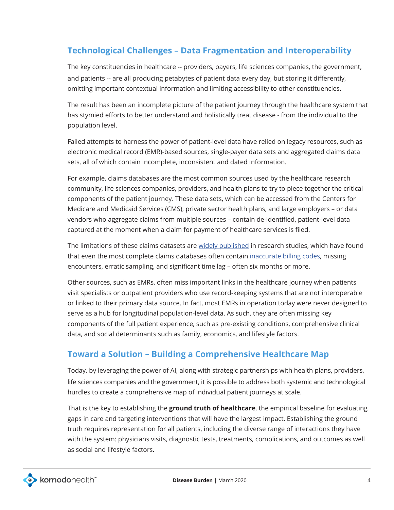### **Technological Challenges – Data Fragmentation and Interoperability**

The key constituencies in healthcare -- providers, payers, life sciences companies, the government, and patients -- are all producing petabytes of patient data every day, but storing it differently, omitting important contextual information and limiting accessibility to other constituencies.

The result has been an incomplete picture of the patient journey through the healthcare system that has stymied efforts to better understand and holistically treat disease - from the individual to the population level.

Failed attempts to harness the power of patient-level data have relied on legacy resources, such as electronic medical record (EMR)-based sources, single-payer data sets and aggregated claims data sets, all of which contain incomplete, inconsistent and dated information.

For example, claims databases are the most common sources used by the healthcare research community, life sciences companies, providers, and health plans to try to piece together the critical components of the patient journey. These data sets, which can be accessed from the Centers for Medicare and Medicaid Services (CMS), private sector health plans, and large employers – or data vendors who aggregate claims from multiple sources – contain de-identified, patient-level data captured at the moment when a claim for payment of healthcare services is filed.

The limitations of these claims datasets are [widely published](https://www.healthaffairs.org/doi/full/10.1377/hlthaff.var.5) in research studies, which have found that even the most complete claims databases often contain [inaccurate billing codes](https://www.ncbi.nlm.nih.gov/pmc/articles/PMC4114235/), missing encounters, erratic sampling, and significant time lag – often six months or more.

Other sources, such as EMRs, often miss important links in the healthcare journey when patients visit specialists or outpatient providers who use record-keeping systems that are not interoperable or linked to their primary data source. In fact, most EMRs in operation today were never designed to serve as a hub for longitudinal population-level data. As such, they are often missing key components of the full patient experience, such as pre-existing conditions, comprehensive clinical data, and social determinants such as family, economics, and lifestyle factors.

#### **Toward a Solution – Building a Comprehensive Healthcare Map**

Today, by leveraging the power of AI, along with strategic partnerships with health plans, providers, life sciences companies and the government, it is possible to address both systemic and technological hurdles to create a comprehensive map of individual patient journeys at scale.

That is the key to establishing the **ground truth of healthcare**, the empirical baseline for evaluating gaps in care and targeting interventions that will have the largest impact. Establishing the ground truth requires representation for all patients, including the diverse range of interactions they have with the system: physicians visits, diagnostic tests, treatments, complications, and outcomes as well as social and lifestyle factors.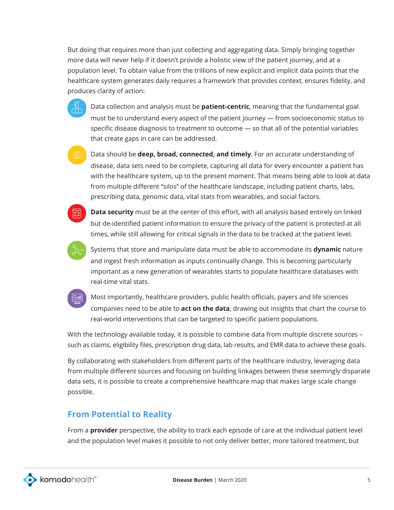But doing that requires more than just collecting and aggregating data. Simply bringing together more data will never help if it doesn't provide a holistic view of the patient journey, and at a population level. To obtain value from the trillions of new explicit and implicit data points that the healthcare system generates daily requires a framework that provides context, ensures fidelity, and produces clarity of action:

• Data collection and analysis must be **patient-centric**, meaning that the fundamental goal must be to understand every aspect of the patient journey — from socioeconomic status to specific disease diagnosis to treatment to outcome — so that all of the potential variables that create gaps in care can be addressed.

• Data should be **deep, broad, connected, and timely**. For an accurate understanding of disease, data sets need to be complete, capturing all data for every encounter a patient has with the healthcare system, up to the present moment. That means being able to look at data from multiple different "silos" of the healthcare landscape, including patient charts, labs, prescribing data, genomic data, vital stats from wearables, and social factors.



**• Data security** must be at the center of this effort, with all analysis based entirely on linked but de-identified patient information to ensure the privacy of the patient is protected at all times, while still allowing for critical signals in the data to be tracked at the patient level.



• Systems that store and manipulate data must be able to accommodate its **dynamic** nature and ingest fresh information as inputs continually change. This is becoming particularly important as a new generation of wearables starts to populate healthcare databases with real-time vital stats.



• Most importantly, healthcare providers, public health officials, payers and life sciences companies need to be able to **act on the data**, drawing out insights that chart the course to real-world interventions that can be targeted to specific patient populations.

With the technology available today, it is possible to combine data from multiple discrete sources – such as claims, eligibility files, prescription drug data, lab results, and EMR data to achieve these goals.

By collaborating with stakeholders from different parts of the healthcare industry, leveraging data from multiple different sources and focusing on building linkages between these seemingly disparate data sets, it is possible to create a comprehensive healthcare map that makes large scale change possible.

## **From Potential to Reality**

From a **provider** perspective, the ability to track each episode of care at the individual patient level and the population level makes it possible to not only deliver better, more tailored treatment, but